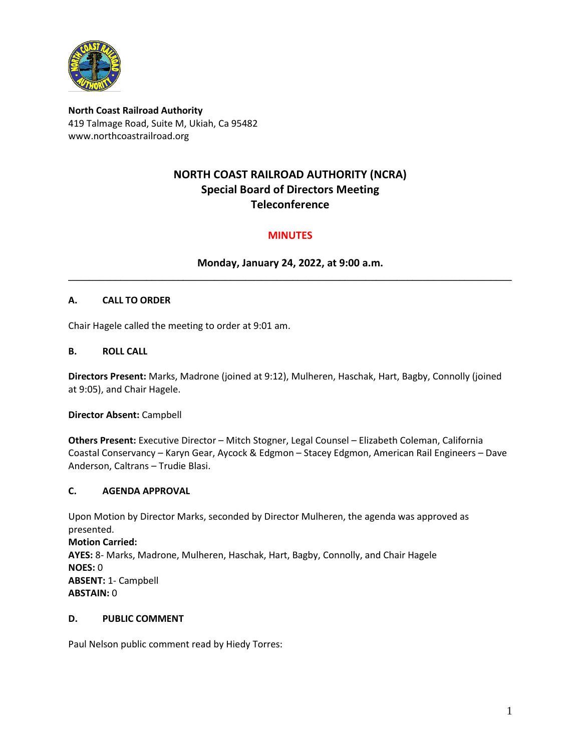

**North Coast Railroad Authority** 419 Talmage Road, Suite M, Ukiah, Ca 95482 www.northcoastrailroad.org

# **NORTH COAST RAILROAD AUTHORITY (NCRA) Special Board of Directors Meeting Teleconference**

## **MINUTES**

**Monday, January 24, 2022, at 9:00 a.m. \_\_\_\_\_\_\_\_\_\_\_\_\_\_\_\_\_\_\_\_\_\_\_\_\_\_\_\_\_\_\_\_\_\_\_\_\_\_\_\_\_\_\_\_\_\_\_\_\_\_\_\_\_\_\_\_\_\_\_\_\_\_\_\_\_\_\_\_\_\_\_\_\_\_\_\_\_\_\_\_\_\_\_\_\_**

### **A. CALL TO ORDER**

Chair Hagele called the meeting to order at 9:01 am.

#### **B. ROLL CALL**

**Directors Present:** Marks, Madrone (joined at 9:12), Mulheren, Haschak, Hart, Bagby, Connolly (joined at 9:05), and Chair Hagele.

**Director Absent:** Campbell

**Others Present:** Executive Director – Mitch Stogner, Legal Counsel – Elizabeth Coleman, California Coastal Conservancy – Karyn Gear, Aycock & Edgmon – Stacey Edgmon, American Rail Engineers – Dave Anderson, Caltrans – Trudie Blasi.

#### **C. AGENDA APPROVAL**

Upon Motion by Director Marks, seconded by Director Mulheren, the agenda was approved as presented. **Motion Carried: AYES:** 8- Marks, Madrone, Mulheren, Haschak, Hart, Bagby, Connolly, and Chair Hagele **NOES:** 0 **ABSENT:** 1- Campbell **ABSTAIN:** 0

#### **D. PUBLIC COMMENT**

Paul Nelson public comment read by Hiedy Torres: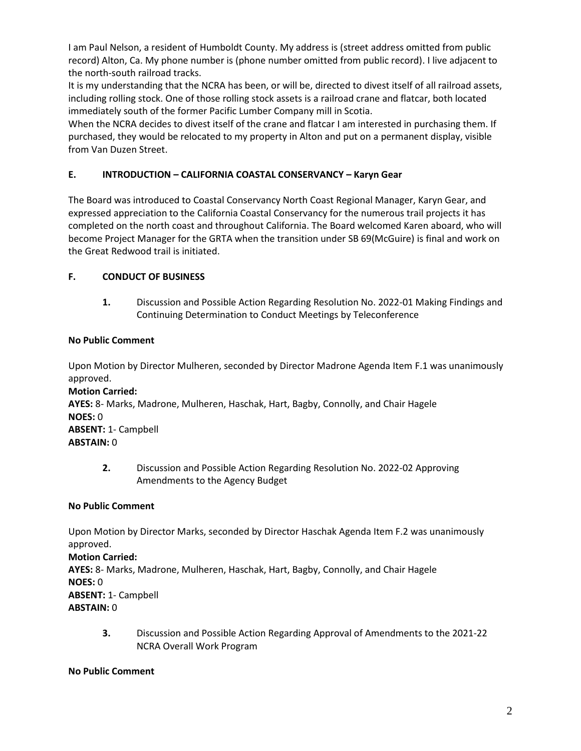I am Paul Nelson, a resident of Humboldt County. My address is (street address omitted from public record) Alton, Ca. My phone number is (phone number omitted from public record). I live adjacent to the north-south railroad tracks.

It is my understanding that the NCRA has been, or will be, directed to divest itself of all railroad assets, including rolling stock. One of those rolling stock assets is a railroad crane and flatcar, both located immediately south of the former Pacific Lumber Company mill in Scotia.

When the NCRA decides to divest itself of the crane and flatcar I am interested in purchasing them. If purchased, they would be relocated to my property in Alton and put on a permanent display, visible from Van Duzen Street.

### **E. INTRODUCTION – CALIFORNIA COASTAL CONSERVANCY – Karyn Gear**

The Board was introduced to Coastal Conservancy North Coast Regional Manager, Karyn Gear, and expressed appreciation to the California Coastal Conservancy for the numerous trail projects it has completed on the north coast and throughout California. The Board welcomed Karen aboard, who will become Project Manager for the GRTA when the transition under SB 69(McGuire) is final and work on the Great Redwood trail is initiated.

### **F. CONDUCT OF BUSINESS**

**1.** Discussion and Possible Action Regarding Resolution No. 2022-01 Making Findings and Continuing Determination to Conduct Meetings by Teleconference

#### **No Public Comment**

Upon Motion by Director Mulheren, seconded by Director Madrone Agenda Item F.1 was unanimously approved.

**Motion Carried: AYES:** 8- Marks, Madrone, Mulheren, Haschak, Hart, Bagby, Connolly, and Chair Hagele **NOES:** 0 **ABSENT:** 1- Campbell **ABSTAIN:** 0

**2.** Discussion and Possible Action Regarding Resolution No. 2022-02 Approving Amendments to the Agency Budget

#### **No Public Comment**

Upon Motion by Director Marks, seconded by Director Haschak Agenda Item F.2 was unanimously approved. **Motion Carried: AYES:** 8- Marks, Madrone, Mulheren, Haschak, Hart, Bagby, Connolly, and Chair Hagele **NOES:** 0 **ABSENT:** 1- Campbell **ABSTAIN:** 0

**3.** Discussion and Possible Action Regarding Approval of Amendments to the 2021-22 NCRA Overall Work Program

#### **No Public Comment**